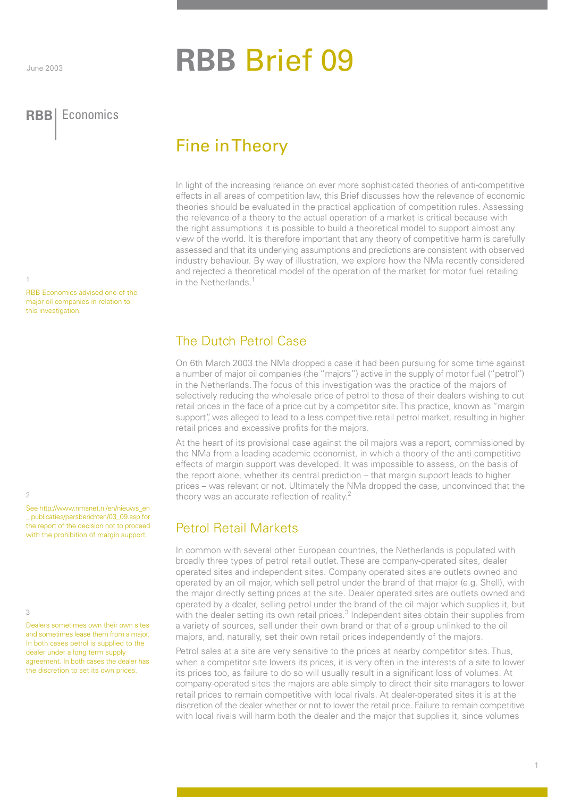# **RBB** Brief 09

#### **RBB** Economics **RBB** Economics

## Fine in Theory

In light of the increasing reliance on ever more sophisticated theories of anti-competitive effects in all areas of competition law, this Brief discusses how the relevance of economic theories should be evaluated in the practical application of competition rules. Assessing the relevance of a theory to the actual operation of a market is critical because with the right assumptions it is possible to build a theoretical model to support almost any view of the world. It is therefore important that any theory of competitive harm is carefully assessed and that its underlying assumptions and predictions are consistent with observed industry behaviour. By way of illustration, we explore how the NMa recently considered and rejected a theoretical model of the operation of the market for motor fuel retailing in the Netherlands.<sup>1</sup>

RBB Economics advised one of the major oil companies in relation to this investigation.

2

1

See http://www.nmanet.nl/en/nieuws\_en \_ publicaties/persberichten/03\_09.asp for the report of the decision not to proceed with the prohibition of margin support.

 $\overline{\mathcal{L}}$ 

Dealers sometimes own their own sites and sometimes lease them from a major. In both cases petrol is supplied to the dealer under a long term supply agreement. In both cases the dealer has the discretion to set its own prices.

### The Dutch Petrol Case

On 6th March 2003 the NMa dropped a case it had been pursuing for some time against a number of major oil companies (the "majors") active in the supply of motor fuel ("petrol") in the Netherlands. The focus of this investigation was the practice of the majors of selectively reducing the wholesale price of petrol to those of their dealers wishing to cut retail prices in the face of a price cut by a competitor site. This practice, known as "margin support", was alleged to lead to a less competitive retail petrol market, resulting in higher retail prices and excessive profits for the majors.

At the heart of its provisional case against the oil majors was a report, commissioned by the NMa from a leading academic economist, in which a theory of the anti-competitive effects of margin support was developed. It was impossible to assess, on the basis of the report alone, whether its central prediction – that margin support leads to higher prices – was relevant or not. Ultimately the NMa dropped the case, unconvinced that the theory was an accurate reflection of reality.<sup>2</sup>

## Petrol Retail Markets

In common with several other European countries, the Netherlands is populated with broadly three types of petrol retail outlet. These are company-operated sites, dealer operated sites and independent sites. Company operated sites are outlets owned and operated by an oil major, which sell petrol under the brand of that major (e.g. Shell), with the major directly setting prices at the site. Dealer operated sites are outlets owned and operated by a dealer, selling petrol under the brand of the oil major which supplies it, but with the dealer setting its own retail prices.<sup>3</sup> Independent sites obtain their supplies from a variety of sources, sell under their own brand or that of a group unlinked to the oil majors, and, naturally, set their own retail prices independently of the majors.

Petrol sales at a site are very sensitive to the prices at nearby competitor sites. Thus, when a competitor site lowers its prices, it is very often in the interests of a site to lower its prices too, as failure to do so will usually result in a significant loss of volumes. At company-operated sites the majors are able simply to direct their site managers to lower retail prices to remain competitive with local rivals. At dealer-operated sites it is at the discretion of the dealer whether or not to lower the retail price. Failure to remain competitive with local rivals will harm both the dealer and the major that supplies it, since volumes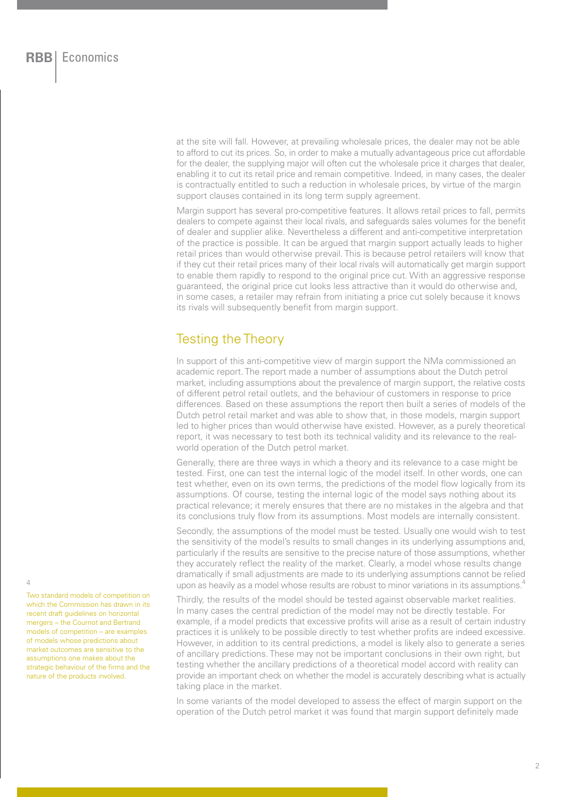at the site will fall. However, at prevailing wholesale prices, the dealer may not be able to afford to cut its prices. So, in order to make a mutually advantageous price cut affordable for the dealer, the supplying major will often cut the wholesale price it charges that dealer, enabling it to cut its retail price and remain competitive. Indeed, in many cases, the dealer is contractually entitled to such a reduction in wholesale prices, by virtue of the margin support clauses contained in its long term supply agreement.

Margin support has several pro-competitive features. It allows retail prices to fall, permits dealers to compete against their local rivals, and safeguards sales volumes for the benefit of dealer and supplier alike. Nevertheless a different and anti-competitive interpretation of the practice is possible. It can be argued that margin support actually leads to higher retail prices than would otherwise prevail. This is because petrol retailers will know that if they cut their retail prices many of their local rivals will automatically get margin support to enable them rapidly to respond to the original price cut. With an aggressive response guaranteed, the original price cut looks less attractive than it would do otherwise and, in some cases, a retailer may refrain from initiating a price cut solely because it knows its rivals will subsequently benefit from margin support.

#### Testing the Theory

In support of this anti-competitive view of margin support the NMa commissioned an academic report. The report made a number of assumptions about the Dutch petrol market, including assumptions about the prevalence of margin support, the relative costs of different petrol retail outlets, and the behaviour of customers in response to price differences. Based on these assumptions the report then built a series of models of the Dutch petrol retail market and was able to show that, in those models, margin support led to higher prices than would otherwise have existed. However, as a purely theoretical report, it was necessary to test both its technical validity and its relevance to the realworld operation of the Dutch petrol market.

Generally, there are three ways in which a theory and its relevance to a case might be tested. First, one can test the internal logic of the model itself. In other words, one can test whether, even on its own terms, the predictions of the model flow logically from its assumptions. Of course, testing the internal logic of the model says nothing about its practical relevance; it merely ensures that there are no mistakes in the algebra and that its conclusions truly flow from its assumptions. Most models are internally consistent.

Secondly, the assumptions of the model must be tested. Usually one would wish to test the sensitivity of the model's results to small changes in its underlying assumptions and, particularly if the results are sensitive to the precise nature of those assumptions, whether they accurately reflect the reality of the market. Clearly, a model whose results change dramatically if small adjustments are made to its underlying assumptions cannot be relied upon as heavily as a model whose results are robust to minor variations in its assumptions.<sup>4</sup>

Thirdly, the results of the model should be tested against observable market realities. In many cases the central prediction of the model may not be directly testable. For example, if a model predicts that excessive profits will arise as a result of certain industry practices it is unlikely to be possible directly to test whether profits are indeed excessive. However, in addition to its central predictions, a model is likely also to generate a series of ancillary predictions. These may not be important conclusions in their own right, but testing whether the ancillary predictions of a theoretical model accord with reality can provide an important check on whether the model is accurately describing what is actually taking place in the market.

In some variants of the model developed to assess the effect of margin support on the operation of the Dutch petrol market it was found that margin support definitely made

4

Two standard models of competition on which the Commission has drawn in its recent draft guidelines on horizontal mergers – the Cournot and Bertrand models of competition – are examples of models whose predictions about market outcomes are sensitive to the assumptions one makes about the strategic behaviour of the firms and the nature of the products involved.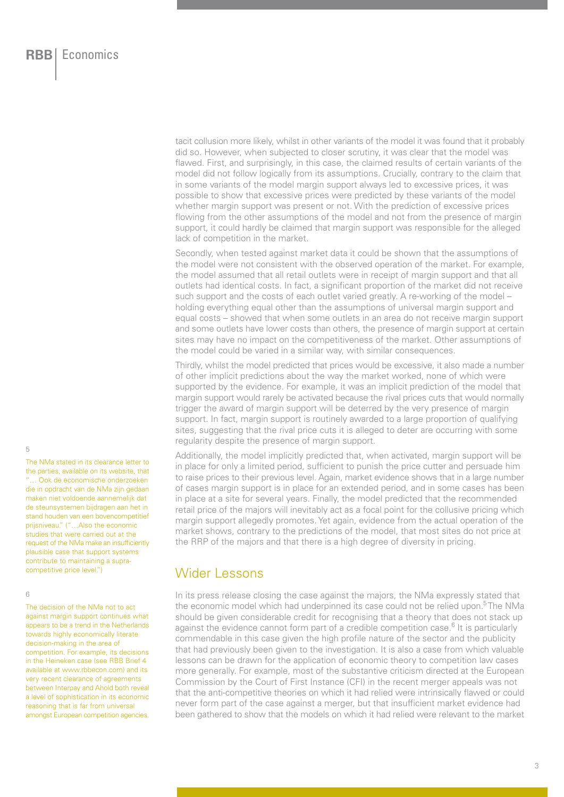tacit collusion more likely, whilst in other variants of the model it was found that it probably did so. However, when subjected to closer scrutiny, it was clear that the model was flawed. First, and surprisingly, in this case, the claimed results of certain variants of the model did not follow logically from its assumptions. Crucially, contrary to the claim that in some variants of the model margin support always led to excessive prices, it was possible to show that excessive prices were predicted by these variants of the model whether margin support was present or not. With the prediction of excessive prices flowing from the other assumptions of the model and not from the presence of margin support, it could hardly be claimed that margin support was responsible for the alleged lack of competition in the market.

Secondly, when tested against market data it could be shown that the assumptions of the model were not consistent with the observed operation of the market. For example, the model assumed that all retail outlets were in receipt of margin support and that all outlets had identical costs. In fact, a significant proportion of the market did not receive such support and the costs of each outlet varied greatly. A re-working of the model – holding everything equal other than the assumptions of universal margin support and equal costs – showed that when some outlets in an area do not receive margin support and some outlets have lower costs than others, the presence of margin support at certain sites may have no impact on the competitiveness of the market. Other assumptions of the model could be varied in a similar way, with similar consequences.

Thirdly, whilst the model predicted that prices would be excessive, it also made a number of other implicit predictions about the way the market worked, none of which were supported by the evidence. For example, it was an implicit prediction of the model that margin support would rarely be activated because the rival prices cuts that would normally trigger the award of margin support will be deterred by the very presence of margin support. In fact, margin support is routinely awarded to a large proportion of qualifying sites, suggesting that the rival price cuts it is alleged to deter are occurring with some regularity despite the presence of margin support.

Additionally, the model implicitly predicted that, when activated, margin support will be in place for only a limited period, sufficient to punish the price cutter and persuade him to raise prices to their previous level. Again, market evidence shows that in a large number of cases margin support is in place for an extended period, and in some cases has been in place at a site for several years. Finally, the model predicted that the recommended retail price of the majors will inevitably act as a focal point for the collusive pricing which margin support allegedly promotes. Yet again, evidence from the actual operation of the market shows, contrary to the predictions of the model, that most sites do not price at the RRP of the majors and that there is a high degree of diversity in pricing.

#### Wider Lessons

In its press release closing the case against the majors, the NMa expressly stated that the economic model which had underpinned its case could not be relied upon.<sup>5</sup> The NMa should be given considerable credit for recognising that a theory that does not stack up against the evidence cannot form part of a credible competition case.<sup>6</sup> It is particularly commendable in this case given the high profile nature of the sector and the publicity that had previously been given to the investigation. It is also a case from which valuable lessons can be drawn for the application of economic theory to competition law cases more generally. For example, most of the substantive criticism directed at the European Commission by the Court of First Instance (CFI) in the recent merger appeals was not that the anti-competitive theories on which it had relied were intrinsically flawed or could never form part of the case against a merger, but that insufficient market evidence had been gathered to show that the models on which it had relied were relevant to the market

5

The NMa stated in its clearance letter to the parties, available on its website, that "… Ook de economische onderzoeken die in opdracht van de NMa zijn gedaan maken niet voldoende aannemelijk dat de steunsystemen bijdragen aan het in stand houden van een bovencompetitief prijsniveau." ("…Also the economic studies that were carried out at the request of the NMa make an insufficiently plausible case that support systems contribute to maintaining a supracompetitive price level.")

#### 6

The decision of the NMa not to act against margin support continues what appears to be a trend in the Netherlands towards highly economically literate decision-making in the area of competition. For example, its decisions in the Heineken case (see RBB Brief 4 available at www.rbbecon.com) and its very recent clearance of agreements between Interpay and Ahold both reveal a level of sophistication in its economic reasoning that is far from universal amongst European competition agencies.